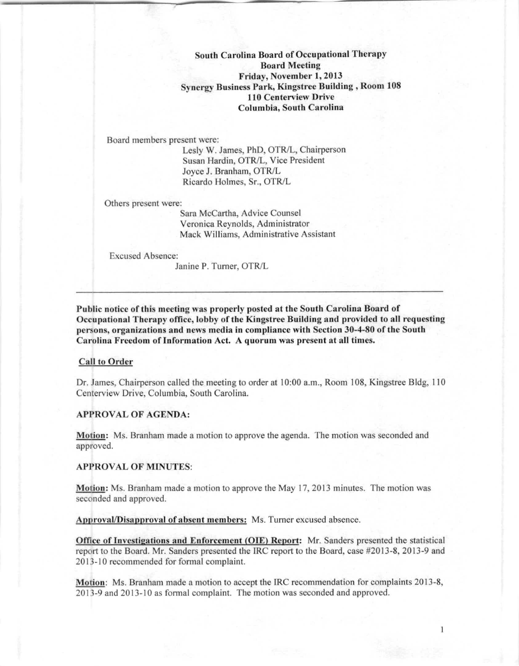South Carolina Board of Occupational Therapy **Board Meeting** Friday, November 1,2013 Synergy Business Park, Kingstree Building, Room 108 110 Centerview Drive Columbia, South Carolina

Board members present were:

Lesly W. James, PhD, OTR/L, Chairperson Susan Hardin, OTR/L, Vice President Joyce J, Branham, OTR/L Ricardo Holmes, Sr., OTRIL

Others present were:

Sara McCartha, Advice Counsel Veronica Reynolds, Administrator Mack Williams, Administrative Assistant

Excused Absence:

Janine P. Turner, OTR/L

Public notice of this meeting was properly posted at the South Carolina Board of Occupational Thernpy office, lobby of the Kingstree Building and provided to all requesting persons, organizations and news media in compliance with Section 30-4-80 of the South Carolina Freedom of Information Act. A quorum was present at all times.

# Call to Order

Dr. James, Chairperson called the meeting to order at 10:00 a.m., Room 108, Kingstree Bldg, 110 Centerview Drive, Columbia, South Carolina.

## APPROVAL OF AGENDA:

Motion: Ms. Branham made a motion to approve the agenda, The motion was seconded and approved.

#### APPROVAL OF MINUTES:

Motion: Ms. Branham made a motion to approve the May 17,2013 minntes. The motion was seconded and approved.

Approval/Disapproval of absent members: Ms. Turner excused absence.

Office of Investigations and Enforcement (OlE) Report: Mr. Sanders presented the statistical report to the Board. Mr. Sanders presented the IRC report to the Board, case #2013-8, 2013-9 and 2013-10 recommended for fonnal complaint.

Motion: Ms. Branham made a motion to accept the IRC recommendation for complaints 2013-8, 2013-9 and 2013-10 as fonnal complaint. The motion was seconded and approved.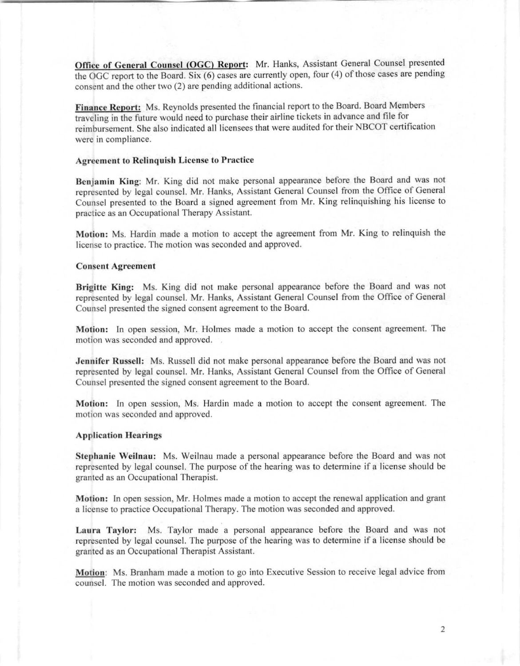Office of General Counsel (OGC) Report: Mr. Hanks, Assistant General Counsel presented the OGC report to the Board. Six (6) cases are currently open, four (4) of those cases are pending consent and the other two (2) are pending additional actions.

Finance Report: Ms. Reynolds presented the financial report to the Board. Board Members traveling in the future would need to purchase their airline tickets in advance and file for reimbursement. She also indicated all licensees that were audited for their NBCOT certification **were in compliance.**

# Agreement to Relinquish License to Practice

Benjamin King: Mr. King did not make personal appearance before the Board and was not represented by legal counsel. Mr. Hanks, Assistant General Counsel from the Office of General Counsel presented to the Board a signed agreement from Mr. King relinquishing his license to practice as an Occupational Therapy Assistant.

Motion: Ms. Hardin made a motion to accept the agreement from Mr. King to relinquish the license to practice. The motion was seconded and approved.

## **Consent Agreement**

Brigitte King: Ms. King did not make personal appearance before the Board and was not represented by legal counsel. Mr. Hanks, Assistant General Counsel from the Office of General Counsel presented the signed consent agreement to the Board.

Motion: In open session, Mr. Holmes made a motion to accept the consent agreement. The motion was seconded and approved.

Jennifer Russell: Ms. Russell did not make personal appearance before the Board and was not represented by legal counsel. Mr. Hanks, Assistant General Counsel from the Office of General Counsel presented the signed consent agreement to the Board.

Motion: In open session, Ms. Hardin made a motion to accept the consent agreement. The motion was seconded and approved.

#### **Application Hearings**

Stephanie Weilnau: Ms. Weilnau made a personal appearance before the Board and was not represented by legal counsel. The purpose of the hearing was to determine if a license should be granted as an Occupational Therapist.

Motion: In open session, Mr. Holmes made a motion to accept the renewal application and grant a license to practice Occupational Therapy. The motion was seconded and approved.

Laura Taylor: Ms. Taylor made a personal appearance before the Board and was not represcnted by legal counsel. The purpose of the hearing was to determine if a license should be granted as an Occupational Therapist Assistant.

Motion: Ms. Branham made a motion to go into Executive Session to receive legal advice from counsel. The motion was seconded and approved.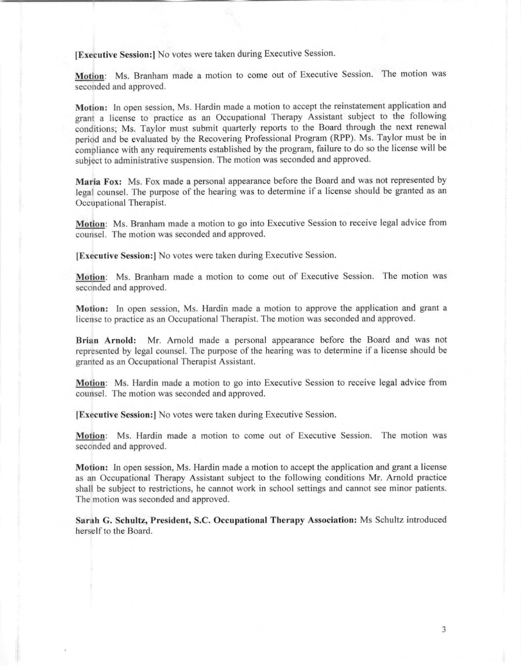(Executive Session:1 No votes were taken during Executive Session.

Motion: Ms. Branham made a motion to come out of Executive Session. The motion was seconded and approved.

Motion: In open session, Ms. Hardin made a motion to accept the reinstatement application and grant a license to practice as an Occupational Therapy Assistant subject to the following conditions; Ms. Taylor must submit quarterly reports to the Board through the next renewal period and be evaluated by the Recovering Professional Program (RPP). Ms. Taylor must be in compliance with any requirements established by the program, failure to do so the license will be subject to administrative suspension. The motion was seconded and approved.

Maria Fox: Ms. Fox made a personal appearance before the Board and was not represented by legal counsel. The purpose of the hearing was to determine if a license should be granted as an Occupational Therapist.

Motion: Ms. Branham made a motion to go into Executive Session to receive legal advice from counsel. The motion was seconded and approved.

**IExecutive Session:** No votes were taken during Executive Session.

Motion: Ms. Branham made a motion to come out of Executive Session. The motion was seconded and approved.

Motion: In open session, Ms. Hardin made a motion to approve the application and grant a license to practice as an Occupational Therapist. The motion was seconded and approved.

Brian Arnold: Mr. Arnold made a personal appearance before the Board and was not represented by legal counsel. The purpose of the hearing was to determine if a license should be granted as an Occupational Therapist Assistant.

Motion: Ms. Hardin made a motion to go into Executive Session to receive legal advice from counsel. The motion was seconded and approved.

(Executivc Session:] No votes were taken during Executive Session.

Motion: Ms. Hardin made a motion to come out of Executive Session. The motion was seconded and approved.

Motion: In open session, Ms. Hardin made a motion to accept the application and grant a license as an Occupational Therapy Assistant subject to the following conditions Mr. Arnold practice shall be subject to restrictions, he cannot work in school settings and cannot see minor patients. The motion was seconded and approved.

Sarah G. Schultz, President, S.C. Occupational Therapy Association: Ms Schultz introduced herself to the Board.